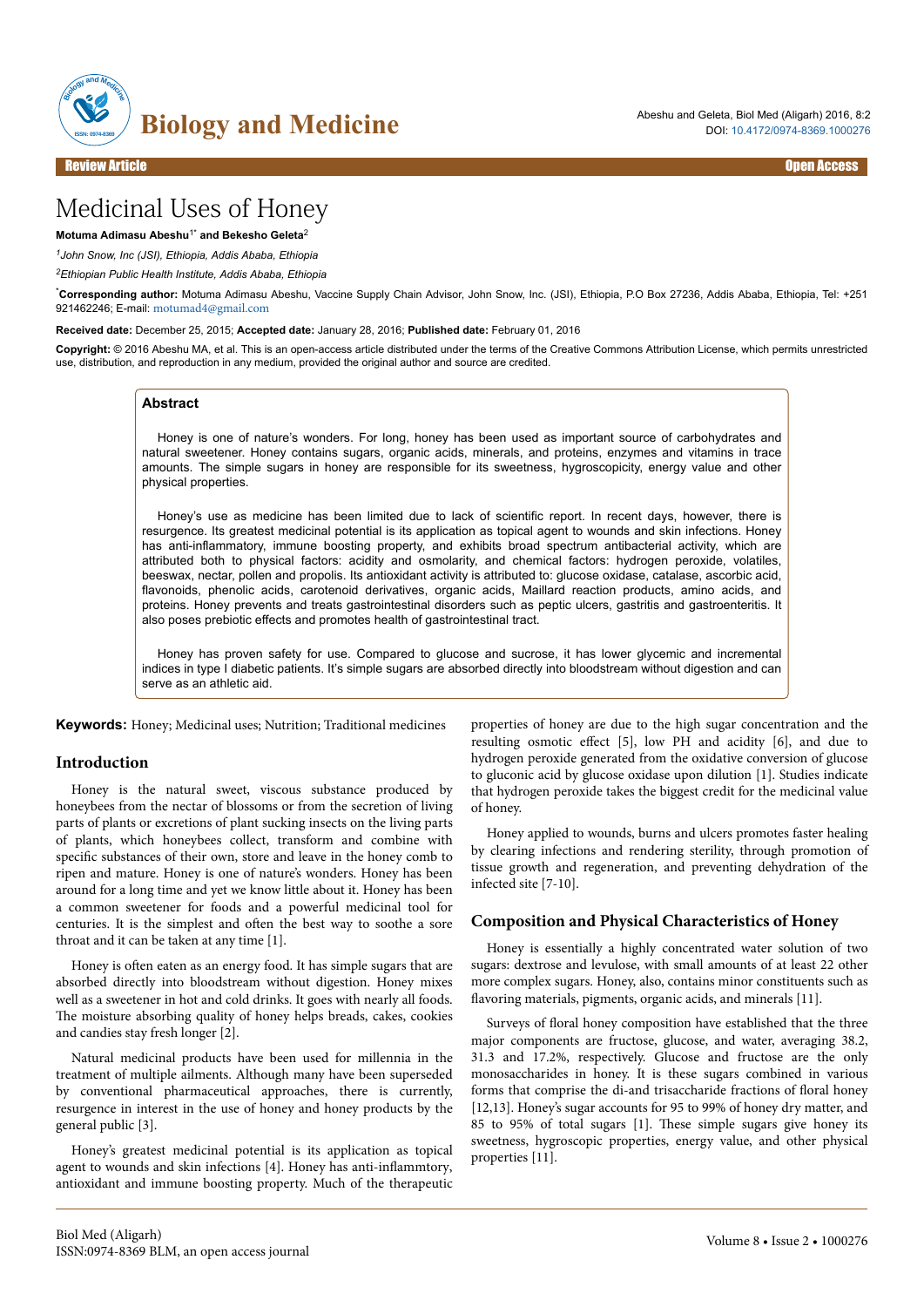

# Medicinal Uses of Honey

## **Motuma Adimasu Abeshu**1\* **and Bekesho Geleta**<sup>2</sup>

*<sup>1</sup>John Snow, Inc (JSI), Ethiopia, Addis Ababa, Ethiopia*

*<sup>2</sup>Ethiopian Public Health Institute, Addis Ababa, Ethiopia*

\***Corresponding author:** Motuma Adimasu Abeshu, Vaccine Supply Chain Advisor, John Snow, Inc. (JSI), Ethiopia, P.O Box 27236, Addis Ababa, Ethiopia, Tel: +251 921462246; E-mail: [motumad4@gmail.com](mailto:motumad4@gmail.com)

**Received date:** December 25, 2015; **Accepted date:** January 28, 2016; **Published date:** February 01, 2016

**Copyright:** © 2016 Abeshu MA, et al. This is an open-access article distributed under the terms of the Creative Commons Attribution License, which permits unrestricted use, distribution, and reproduction in any medium, provided the original author and source are credited.

# **Abstract**

Honey is one of nature's wonders. For long, honey has been used as important source of carbohydrates and natural sweetener. Honey contains sugars, organic acids, minerals, and proteins, enzymes and vitamins in trace amounts. The simple sugars in honey are responsible for its sweetness, hygroscopicity, energy value and other physical properties.

Honey's use as medicine has been limited due to lack of scientific report. In recent days, however, there is resurgence. Its greatest medicinal potential is its application as topical agent to wounds and skin infections. Honey has anti-inflammatory, immune boosting property, and exhibits broad spectrum antibacterial activity, which are attributed both to physical factors: acidity and osmolarity, and chemical factors: hydrogen peroxide, volatiles, beeswax, nectar, pollen and propolis. Its antioxidant activity is attributed to: glucose oxidase, catalase, ascorbic acid, flavonoids, phenolic acids, carotenoid derivatives, organic acids, Maillard reaction products, amino acids, and proteins. Honey prevents and treats gastrointestinal disorders such as peptic ulcers, gastritis and gastroenteritis. It also poses prebiotic effects and promotes health of gastrointestinal tract.

Honey has proven safety for use. Compared to glucose and sucrose, it has lower glycemic and incremental indices in type I diabetic patients. It's simple sugars are absorbed directly into bloodstream without digestion and can serve as an athletic aid.

**Keywords:** Honey; Medicinal uses; Nutrition; Traditional medicines

#### **Introduction**

Honey is the natural sweet, viscous substance produced by honeybees from the nectar of blossoms or from the secretion of living parts of plants or excretions of plant sucking insects on the living parts of plants, which honeybees collect, transform and combine with specific substances of their own, store and leave in the honey comb to ripen and mature. Honey is one of nature's wonders. Honey has been around for a long time and yet we know little about it. Honey has been a common sweetener for foods and a powerful medicinal tool for centuries. It is the simplest and often the best way to soothe a sore throat and it can be taken at any time [1].

Honey is often eaten as an energy food. It has simple sugars that are absorbed directly into bloodstream without digestion. Honey mixes well as a sweetener in hot and cold drinks. It goes with nearly all foods. The moisture absorbing quality of honey helps breads, cakes, cookies and candies stay fresh longer [2].

Natural medicinal products have been used for millennia in the treatment of multiple ailments. Although many have been superseded by conventional pharmaceutical approaches, there is currently, resurgence in interest in the use of honey and honey products by the general public [3].

Honey's greatest medicinal potential is its application as topical agent to wounds and skin infections  $[4]$ . Honey has anti-inflammtory, antioxidant and immune boosting property. Much of the therapeutic

properties of honey are due to the high sugar concentration and the resulting osmotic effect [5], low PH and acidity [6], and due to hydrogen peroxide generated from the oxidative conversion of glucose to gluconic acid by glucose oxidase upon dilution [1]. Studies indicate that hydrogen peroxide takes the biggest credit for the medicinal value of honey.

Honey applied to wounds, burns and ulcers promotes faster healing by clearing infections and rendering sterility, through promotion of tissue growth and regeneration, and preventing dehydration of the infected site [7-10].

## **Composition and Physical Characteristics of Honey**

Honey is essentially a highly concentrated water solution of two sugars: dextrose and levulose, with small amounts of at least 22 other more complex sugars. Honey, also, contains minor constituents such as flavoring materials, pigments, organic acids, and minerals [11].

Surveys of floral honey composition have established that the three major components are fructose, glucose, and water, averaging 38.2, 31.3 and 17.2%, respectively. Glucose and fructose are the only monosaccharides in honey. It is these sugars combined in various forms that comprise the di-and trisaccharide fractions of floral honey [12,13]. Honey's sugar accounts for 95 to 99% of honey dry matter, and 85 to 95% of total sugars [1]. Нese simple sugars give honey its sweetness, hygroscopic properties, energy value, and other physical properties [11].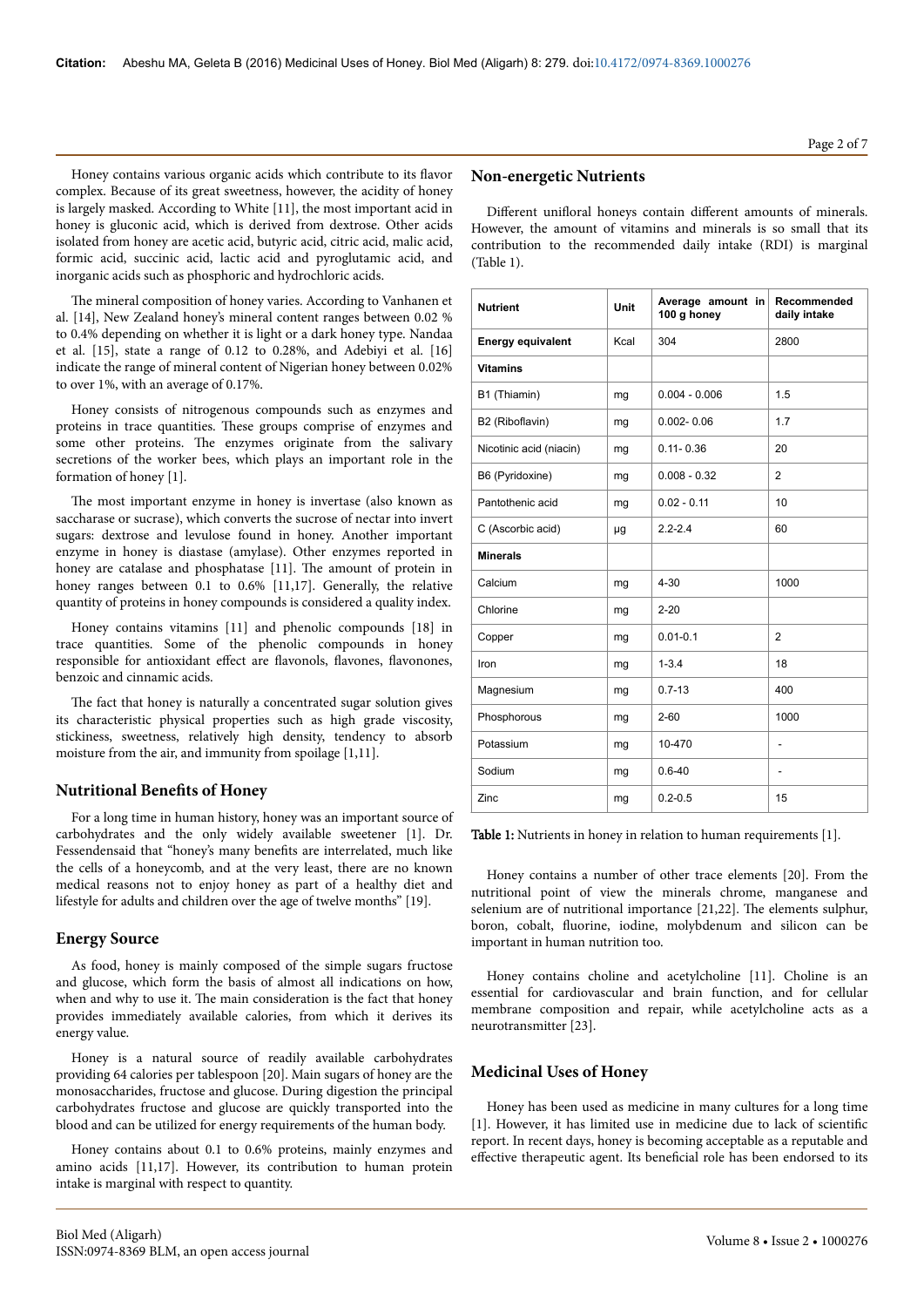Honey contains various organic acids which contribute to its flavor complex. Because of its great sweetness, however, the acidity of honey is largely masked. According to White [11], the most important acid in honey is gluconic acid, which is derived from dextrose. Other acids isolated from honey are acetic acid, butyric acid, citric acid, malic acid, formic acid, succinic acid, lactic acid and pyroglutamic acid, and inorganic acids such as phosphoric and hydrochloric acids.

The mineral composition of honey varies. According to Vanhanen et al. [14], New Zealand honey's mineral content ranges between 0.02 % to 0.4% depending on whether it is light or a dark honey type. Nandaa et al. [15], state a range of 0.12 to 0.28%, and Adebiyi et al. [16] indicate the range of mineral content of Nigerian honey between 0.02% to over 1%, with an average of 0.17%.

Honey consists of nitrogenous compounds such as enzymes and proteins in trace quantities. Нese groups comprise of enzymes and some other proteins. Нe enzymes originate from the salivary secretions of the worker bees, which plays an important role in the formation of honey [1].

The most important enzyme in honey is invertase (also known as saccharase or sucrase), which converts the sucrose of nectar into invert sugars: dextrose and levulose found in honey. Another important enzyme in honey is diastase (amylase). Other enzymes reported in honey are catalase and phosphatase [11]. The amount of protein in honey ranges between 0.1 to 0.6% [11,17]. Generally, the relative quantity of proteins in honey compounds is considered a quality index.

Honey contains vitamins [11] and phenolic compounds [18] in trace quantities. Some of the phenolic compounds in honey responsible for antioxidant effect are flavonols, flavones, flavonones, benzoic and cinnamic acids.

The fact that honey is naturally a concentrated sugar solution gives its characteristic physical properties such as high grade viscosity, stickiness, sweetness, relatively high density, tendency to absorb moisture from the air, and immunity from spoilage [1,11].

# **Nutritional Benefits of Honey**

For a long time in human history, honey was an important source of carbohydrates and the only widely available sweetener [1]. Dr. Fessendensaid that "honey's many benefits are interrelated, much like the cells of a honeycomb, and at the very least, there are no known medical reasons not to enjoy honey as part of a healthy diet and lifestyle for adults and children over the age of twelve months" [19].

## **Energy Source**

As food, honey is mainly composed of the simple sugars fructose and glucose, which form the basis of almost all indications on how, when and why to use it. Нe main consideration is the fact that honey provides immediately available calories, from which it derives its energy value.

Honey is a natural source of readily available carbohydrates providing 64 calories per tablespoon [20]. Main sugars of honey are the monosaccharides, fructose and glucose. During digestion the principal carbohydrates fructose and glucose are quickly transported into the blood and can be utilized for energy requirements of the human body.

Honey contains about 0.1 to 0.6% proteins, mainly enzymes and amino acids [11,17]. However, its contribution to human protein intake is marginal with respect to quantity.

# **Non-energetic Nutrients**

Different unifloral honeys contain different amounts of minerals. However, the amount of vitamins and minerals is so small that its contribution to the recommended daily intake (RDI) is marginal (Table 1).

| <b>Nutrient</b>          | Unit | Average amount in<br>100 g honey | Recommended<br>daily intake |
|--------------------------|------|----------------------------------|-----------------------------|
| <b>Energy equivalent</b> | Kcal | 304                              | 2800                        |
| <b>Vitamins</b>          |      |                                  |                             |
| B1 (Thiamin)             | mg   | $0.004 - 0.006$                  | 1.5                         |
| B2 (Riboflavin)          | mg   | $0.002 - 0.06$                   | 1.7                         |
| Nicotinic acid (niacin)  | mg   | $0.11 - 0.36$                    | 20                          |
| B6 (Pyridoxine)          | mg   | $0.008 - 0.32$                   | $\overline{2}$              |
| Pantothenic acid         | mg   | $0.02 - 0.11$                    | 10                          |
| C (Ascorbic acid)        | μg   | $2.2 - 2.4$                      | 60                          |
| <b>Minerals</b>          |      |                                  |                             |
| Calcium                  | mg   | $4 - 30$                         | 1000                        |
| Chlorine                 | mg   | $2 - 20$                         |                             |
| Copper                   | mg   | $0.01 - 0.1$                     | $\overline{2}$              |
| Iron                     | mg   | $1 - 3.4$                        | 18                          |
| Magnesium                | mg   | $0.7 - 13$                       | 400                         |
| Phosphorous              | mg   | $2 - 60$                         | 1000                        |
| Potassium                | mg   | 10-470                           | ٠                           |
| Sodium                   | mg   | $0.6 - 40$                       | L,                          |
| Zinc                     | mg   | $0.2 - 0.5$                      | 15                          |

Table 1: Nutrients in honey in relation to human requirements [1].

Honey contains a number of other trace elements [20]. From the nutritional point of view the minerals chrome, manganese and selenium are of nutritional importance [21,22]. Нe elements sulphur, boron, cobalt, fluorine, iodine, molybdenum and silicon can be important in human nutrition too.

Honey contains choline and acetylcholine [11]. Choline is an essential for cardiovascular and brain function, and for cellular membrane composition and repair, while acetylcholine acts as a neurotransmitter [23].

# **Medicinal Uses of Honey**

Honey has been used as medicine in many cultures for a long time [1]. However, it has limited use in medicine due to lack of scientific report. In recent days, honey is becoming acceptable as a reputable and effective therapeutic agent. Its beneficial role has been endorsed to its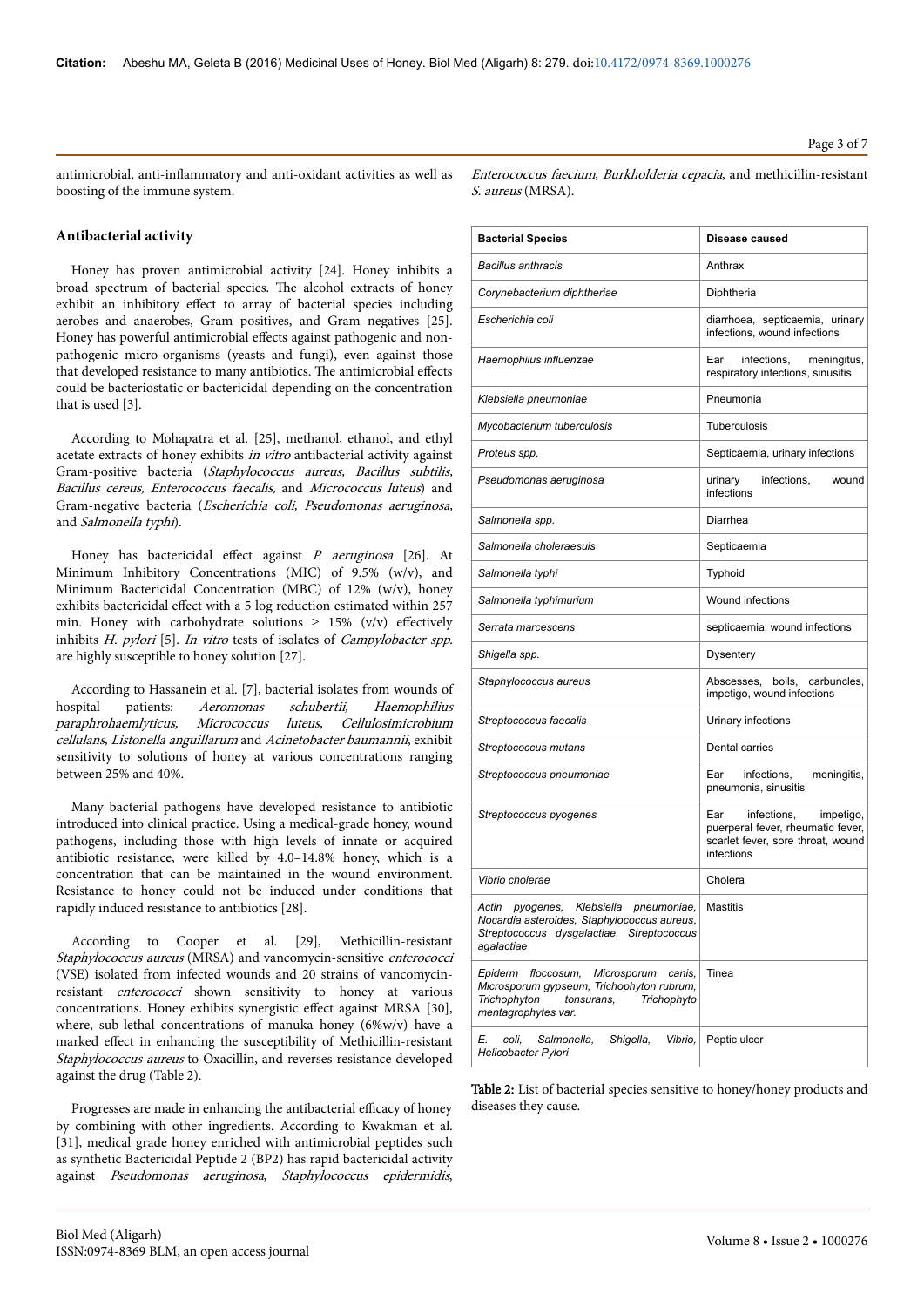antimicrobial, anti-inflammatory and anti-oxidant activities as well as boosting of the immune system.

#### **Antibacterial activity**

Honey has proven antimicrobial activity [24]. Honey inhibits a broad spectrum of bacterial species. Нe alcohol extracts of honey exhibit an inhibitory effect to array of bacterial species including aerobes and anaerobes, Gram positives, and Gram negatives [25]. Honey has powerful antimicrobial effects against pathogenic and nonpathogenic micro-organisms (yeasts and fungi), even against those that developed resistance to many antibiotics. The antimicrobial effects could be bacteriostatic or bactericidal depending on the concentration that is used [3].

According to Mohapatra et al. [25], methanol, ethanol, and ethyl acetate extracts of honey exhibits in vitro antibacterial activity against Gram-positive bacteria (Staphylococcus aureus, Bacillus subtilis, Bacillus cereus, Enterococcus faecalis, and Micrococcus luteus) and Gram-negative bacteria (Escherichia coli, Pseudomonas aeruginosa, and Salmonella typhi).

Honey has bactericidal effect against  $P$ . aeruginosa [26]. At Minimum Inhibitory Concentrations (MIC) of 9.5% (w/v), and Minimum Bactericidal Concentration (MBC) of 12% (w/v), honey exhibits bactericidal effect with a 5 log reduction estimated within 257 min. Honey with carbohydrate solutions  $\geq 15\%$  (v/v) effectively inhibits H. pylori [5]. In vitro tests of isolates of Campylobacter spp. are highly susceptible to honey solution [27].

According to Hassanein et al. [7], bacterial isolates from wounds of hospital patients: Aeromonas schubertii, Haemophilius<br>paraphrohaemlyticus, Micrococcus luteus, Cellulosimicrobium paraphrohaemlyticus, Micrococcus luteus, cellulans, Listonella anguillarum and Acinetobacter baumannii, exhibit sensitivity to solutions of honey at various concentrations ranging between 25% and 40%.

Many bacterial pathogens have developed resistance to antibiotic introduced into clinical practice. Using a medical-grade honey, wound pathogens, including those with high levels of innate or acquired antibiotic resistance, were killed by 4.0–14.8% honey, which is a concentration that can be maintained in the wound environment. Resistance to honey could not be induced under conditions that rapidly induced resistance to antibiotics [28].

According to Cooper et al. [29], Methicillin-resistant Staphylococcus aureus (MRSA) and vancomycin-sensitive enterococci (VSE) isolated from infected wounds and 20 strains of vancomycinresistant enterococci shown sensitivity to honey at various concentrations. Honey exhibits synergistic effect against MRSA [30], where, sub-lethal concentrations of manuka honey (6%w/v) have a marked effect in enhancing the susceptibility of Methicillin-resistant Staphylococcus aureus to Oxacillin, and reverses resistance developed against the drug (Table 2).

Progresses are made in enhancing the antibacterial efficacy of honey by combining with other ingredients. According to Kwakman et al. [31], medical grade honey enriched with antimicrobial peptides such as synthetic Bactericidal Peptide 2 (BP2) has rapid bactericidal activity against Pseudomonas aeruginosa, Staphylococcus epidermidis,

| <i>Enterococcus faecium, Burkholderia cepacia,</i> and methicillin-resistant |  |  |  |
|------------------------------------------------------------------------------|--|--|--|
| <i>S. aureus</i> (MRSA).                                                     |  |  |  |

| <b>Bacterial Species</b>                                                                                                                                        | Disease caused                                                                                                          |  |  |  |  |
|-----------------------------------------------------------------------------------------------------------------------------------------------------------------|-------------------------------------------------------------------------------------------------------------------------|--|--|--|--|
| <b>Bacillus anthracis</b>                                                                                                                                       | Anthrax                                                                                                                 |  |  |  |  |
| Corynebacterium diphtheriae                                                                                                                                     | Diphtheria                                                                                                              |  |  |  |  |
| Escherichia coli                                                                                                                                                | diarrhoea, septicaemia, urinary<br>infections, wound infections                                                         |  |  |  |  |
| Haemophilus influenzae                                                                                                                                          | Ear<br>infections,<br>meningitus,<br>respiratory infections, sinusitis                                                  |  |  |  |  |
| Klebsiella pneumoniae                                                                                                                                           | Pneumonia                                                                                                               |  |  |  |  |
| Mycobacterium tuberculosis                                                                                                                                      | <b>Tuberculosis</b>                                                                                                     |  |  |  |  |
| Proteus spp.                                                                                                                                                    | Septicaemia, urinary infections                                                                                         |  |  |  |  |
| Pseudomonas aeruginosa                                                                                                                                          | urinary<br>infections,<br>wound<br>infections                                                                           |  |  |  |  |
| Salmonella spp.                                                                                                                                                 | Diarrhea                                                                                                                |  |  |  |  |
| Salmonella choleraesuis                                                                                                                                         | Septicaemia                                                                                                             |  |  |  |  |
| Salmonella typhi                                                                                                                                                | Typhoid                                                                                                                 |  |  |  |  |
| Salmonella typhimurium                                                                                                                                          | Wound infections                                                                                                        |  |  |  |  |
| Serrata marcescens                                                                                                                                              | septicaemia, wound infections                                                                                           |  |  |  |  |
| Shigella spp.                                                                                                                                                   | <b>Dysentery</b>                                                                                                        |  |  |  |  |
| Staphylococcus aureus                                                                                                                                           | Abscesses, boils,<br>carbuncles,<br>impetigo, wound infections                                                          |  |  |  |  |
| Streptococcus faecalis                                                                                                                                          | Urinary infections                                                                                                      |  |  |  |  |
| Streptococcus mutans                                                                                                                                            | Dental carries                                                                                                          |  |  |  |  |
| Streptococcus pneumoniae                                                                                                                                        | Ear<br>infections,<br>meningitis,<br>pneumonia, sinusitis                                                               |  |  |  |  |
| Streptococcus pyogenes                                                                                                                                          | infections,<br>Ear<br>impetigo,<br>puerperal fever, rheumatic fever,<br>scarlet fever, sore throat, wound<br>infections |  |  |  |  |
| Vibrio cholerae                                                                                                                                                 | Cholera                                                                                                                 |  |  |  |  |
| Actin<br>pyogenes,<br>Klebsiella<br>pneumoniae,<br>Nocardia asteroides, Staphylococcus aureus,<br>Streptococcus dysgalactiae, Streptococcus<br>agalactiae       | <b>Mastitis</b>                                                                                                         |  |  |  |  |
| Epiderm<br>floccosum.<br>Microsporum<br>canis,<br>Microsporum gypseum, Trichophyton rubrum,<br>Trichophyton<br>Trichophyto<br>tonsurans,<br>mentagrophytes var. | Tinea                                                                                                                   |  |  |  |  |
| Shigella,<br>Vibrio,<br>coli.<br>Salmonella.<br>E.<br>Helicobacter Pylori                                                                                       | Peptic ulcer                                                                                                            |  |  |  |  |

Table 2: List of bacterial species sensitive to honey/honey products and diseases they cause.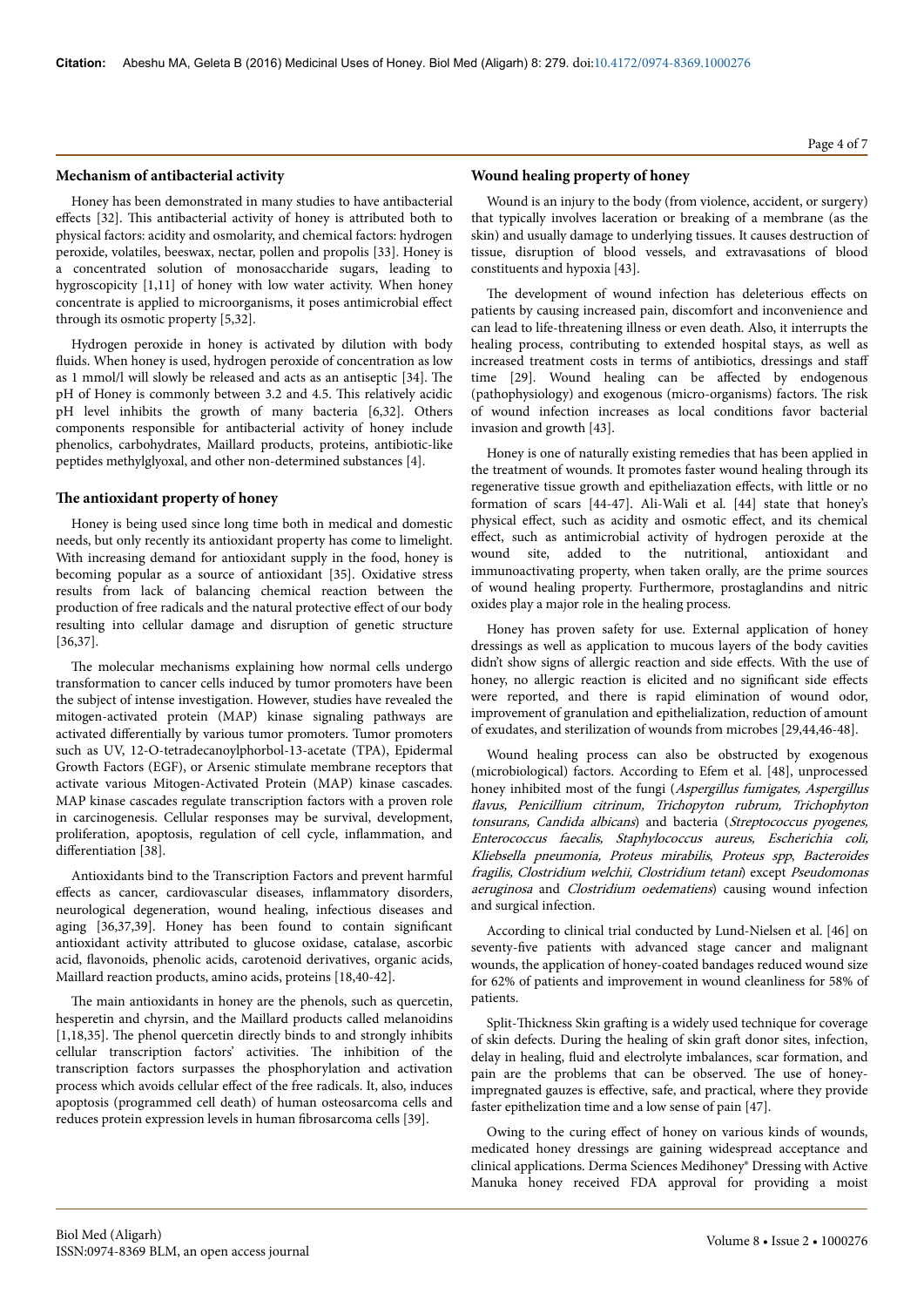#### **Mechanism of antibacterial activity**

Honey has been demonstrated in many studies to have antibacterial effects [32]. This antibacterial activity of honey is attributed both to physical factors: acidity and osmolarity, and chemical factors: hydrogen peroxide, volatiles, beeswax, nectar, pollen and propolis [33]. Honey is a concentrated solution of monosaccharide sugars, leading to hygroscopicity [1,11] of honey with low water activity. When honey concentrate is applied to microorganisms, it poses antimicrobial effect through its osmotic property [5,32].

Hydrogen peroxide in honey is activated by dilution with body fluids. When honey is used, hydrogen peroxide of concentration as low as 1 mmol/l will slowly be released and acts as an antiseptic [34]. Нe pH of Honey is commonly between 3.2 and 4.5. This relatively acidic pH level inhibits the growth of many bacteria [6,32]. Others components responsible for antibacterial activity of honey include phenolics, carbohydrates, Maillard products, proteins, antibiotic-like peptides methylglyoxal, and other non-determined substances [4].

## The antioxidant property of honey

Honey is being used since long time both in medical and domestic needs, but only recently its antioxidant property has come to limelight. With increasing demand for antioxidant supply in the food, honey is becoming popular as a source of antioxidant [35]. Oxidative stress results from lack of balancing chemical reaction between the production of free radicals and the natural protective effect of our body resulting into cellular damage and disruption of genetic structure [36,37].

The molecular mechanisms explaining how normal cells undergo transformation to cancer cells induced by tumor promoters have been the subject of intense investigation. However, studies have revealed the mitogen-activated protein (MAP) kinase signaling pathways are activated differentially by various tumor promoters. Tumor promoters such as UV, 12-O-tetradecanoylphorbol-13-acetate (TPA), Epidermal Growth Factors (EGF), or Arsenic stimulate membrane receptors that activate various Mitogen-Activated Protein (MAP) kinase cascades. MAP kinase cascades regulate transcription factors with a proven role in carcinogenesis. Cellular responses may be survival, development, proliferation, apoptosis, regulation of cell cycle, inflammation, and differentiation [38].

Antioxidants bind to the Transcription Factors and prevent harmful effects as cancer, cardiovascular diseases, inflammatory disorders, neurological degeneration, wound healing, infectious diseases and aging  $[36,37,39]$ . Honey has been found to contain significant antioxidant activity attributed to glucose oxidase, catalase, ascorbic acid, flavonoids, phenolic acids, carotenoid derivatives, organic acids, Maillard reaction products, amino acids, proteins [18,40-42].

The main antioxidants in honey are the phenols, such as quercetin, hesperetin and chyrsin, and the Maillard products called melanoidins [1,18,35]. The phenol quercetin directly binds to and strongly inhibits cellular transcription factors' activities. Нe inhibition of the transcription factors surpasses the phosphorylation and activation process which avoids cellular effect of the free radicals. It, also, induces apoptosis (programmed cell death) of human osteosarcoma cells and reduces protein expression levels in human fibrosarcoma cells [39].

# **Wound healing property of honey**

Wound is an injury to the body (from violence, accident, or surgery) that typically involves laceration or breaking of a membrane (as the skin) and usually damage to underlying tissues. It causes destruction of tissue, disruption of blood vessels, and extravasations of blood constituents and hypoxia [43].

The development of wound infection has deleterious effects on patients by causing increased pain, discomfort and inconvenience and can lead to life-threatening illness or even death. Also, it interrupts the healing process, contributing to extended hospital stays, as well as increased treatment costs in terms of antibiotics, dressings and staff time [29]. Wound healing can be affected by endogenous (pathophysiology) and exogenous (micro-organisms) factors. Нe risk of wound infection increases as local conditions favor bacterial invasion and growth [43].

Honey is one of naturally existing remedies that has been applied in the treatment of wounds. It promotes faster wound healing through its regenerative tissue growth and epitheliazation effects, with little or no formation of scars [44-47]. Ali-Wali et al. [44] state that honey's physical effect, such as acidity and osmotic effect, and its chemical effect, such as antimicrobial activity of hydrogen peroxide at the wound site, added to the nutritional, antioxidant and immunoactivating property, when taken orally, are the prime sources of wound healing property. Furthermore, prostaglandins and nitric oxides play a major role in the healing process.

Honey has proven safety for use. External application of honey dressings as well as application to mucous layers of the body cavities didn't show signs of allergic reaction and side effects. With the use of honey, no allergic reaction is elicited and no significant side effects were reported, and there is rapid elimination of wound odor, improvement of granulation and epithelialization, reduction of amount of exudates, and sterilization of wounds from microbes [29,44,46-48].

Wound healing process can also be obstructed by exogenous (microbiological) factors. According to Efem et al. [48], unprocessed honey inhibited most of the fungi (Aspergillus fumigates, Aspergillus flavus, Penicillium citrinum, Trichopyton rubrum, Trichophyton tonsurans, Candida albicans) and bacteria (Streptococcus pyogenes, Enterococcus faecalis, Staphylococcus aureus, Escherichia coli, Kliebsella pneumonia, Proteus mirabilis, Proteus spp, Bacteroides fragilis, Clostridium welchii, Clostridium tetani) except Pseudomonas aeruginosa and Clostridium oedematiens) causing wound infection and surgical infection.

According to clinical trial conducted by Lund-Nielsen et al. [46] on seventy-five patients with advanced stage cancer and malignant wounds, the application of honey-coated bandages reduced wound size for 62% of patients and improvement in wound cleanliness for 58% of patients.

Split-Thickness Skin grafting is a widely used technique for coverage of skin defects. During the healing of skin graft donor sites, infection, delay in healing, fluid and electrolyte imbalances, scar formation, and pain are the problems that can be observed. Нe use of honeyimpregnated gauzes is effective, safe, and practical, where they provide faster epithelization time and a low sense of pain [47].

Owing to the curing effect of honey on various kinds of wounds, medicated honey dressings are gaining widespread acceptance and clinical applications. Derma Sciences Medihoney® Dressing with Active Manuka honey received FDA approval for providing a moist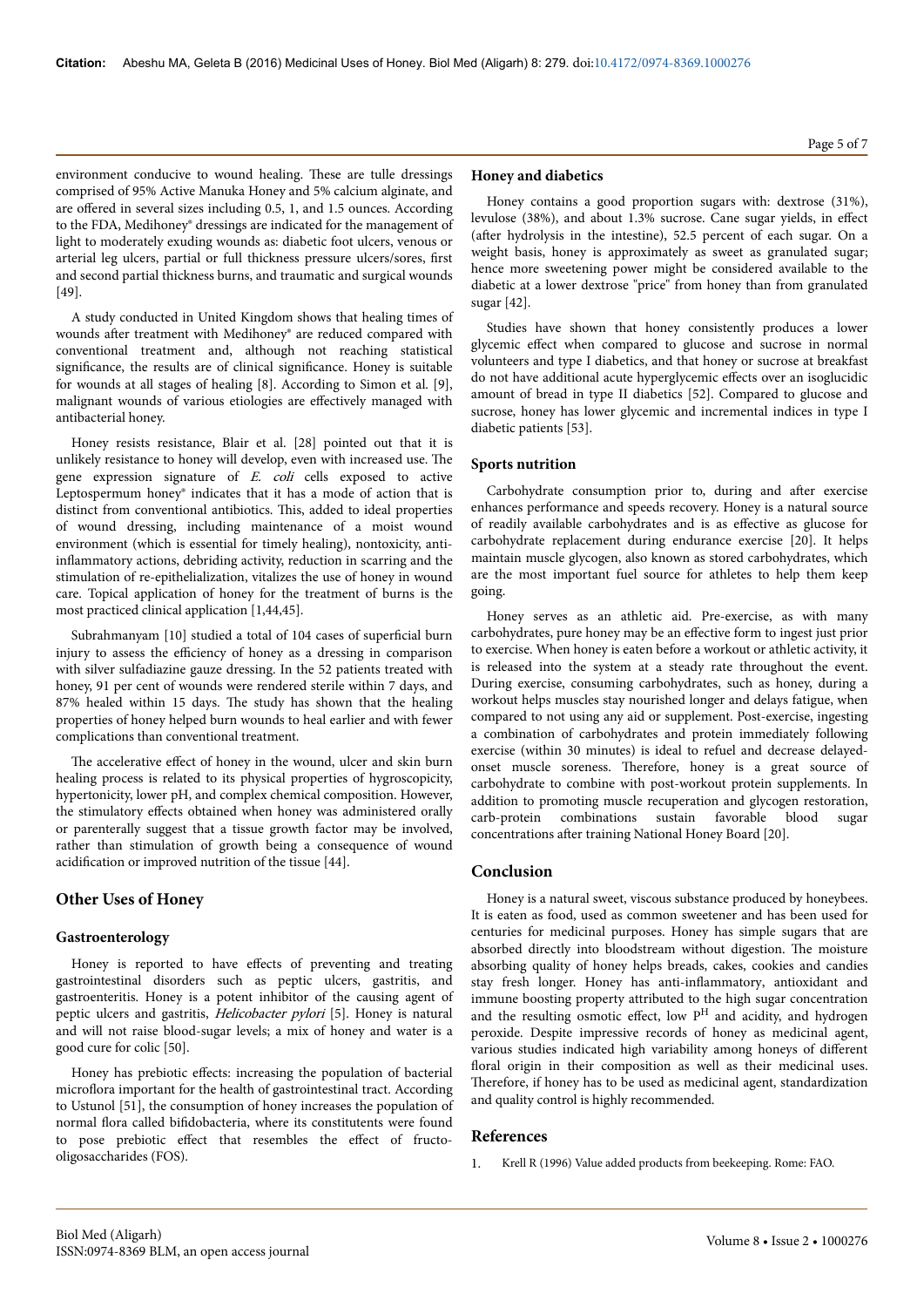environment conducive to wound healing. Нese are tulle dressings comprised of 95% Active Manuka Honey and 5% calcium alginate, and are offered in several sizes including 0.5, 1, and 1.5 ounces. According to the FDA, Medihoney® dressings are indicated for the management of light to moderately exuding wounds as: diabetic foot ulcers, venous or arterial leg ulcers, partial or full thickness pressure ulcers/sores, first and second partial thickness burns, and traumatic and surgical wounds [49].

A study conducted in United Kingdom shows that healing times of wounds after treatment with Medihoney® are reduced compared with conventional treatment and, although not reaching statistical significance, the results are of clinical significance. Honey is suitable for wounds at all stages of healing [8]. According to Simon et al. [9], malignant wounds of various etiologies are effectively managed with antibacterial honey.

Honey resists resistance, Blair et al. [28] pointed out that it is unlikely resistance to honey will develop, even with increased use. Нe gene expression signature of E. coli cells exposed to active Leptospermum honey® indicates that it has a mode of action that is distinct from conventional antibiotics. This, added to ideal properties of wound dressing, including maintenance of a moist wound environment (which is essential for timely healing), nontoxicity, antiinflammatory actions, debriding activity, reduction in scarring and the stimulation of re-epithelialization, vitalizes the use of honey in wound care. Topical application of honey for the treatment of burns is the most practiced clinical application [1,44,45].

Subrahmanyam [10] studied a total of 104 cases of superficial burn injury to assess the efficiency of honey as a dressing in comparison with silver sulfadiazine gauze dressing. In the 52 patients treated with honey, 91 per cent of wounds were rendered sterile within 7 days, and 87% healed within 15 days. Нe study has shown that the healing properties of honey helped burn wounds to heal earlier and with fewer complications than conventional treatment.

The accelerative effect of honey in the wound, ulcer and skin burn healing process is related to its physical properties of hygroscopicity, hypertonicity, lower pH, and complex chemical composition. However, the stimulatory effects obtained when honey was administered orally or parenterally suggest that a tissue growth factor may be involved, rather than stimulation of growth being a consequence of wound acidification or improved nutrition of the tissue [44].

# **Other Uses of Honey**

#### **Gastroenterology**

Honey is reported to have effects of preventing and treating gastrointestinal disorders such as peptic ulcers, gastritis, and gastroenteritis. Honey is a potent inhibitor of the causing agent of peptic ulcers and gastritis, Helicobacter pylori [5]. Honey is natural and will not raise blood-sugar levels; a mix of honey and water is a good cure for colic [50].

Honey has prebiotic effects: increasing the population of bacterial microflora important for the health of gastrointestinal tract. According to Ustunol [51], the consumption of honey increases the population of normal flora called bifidobacteria, where its constitutents were found to pose prebiotic effect that resembles the effect of fructooligosaccharides (FOS).

## **Honey and diabetics**

Honey contains a good proportion sugars with: dextrose (31%), levulose (38%), and about 1.3% sucrose. Cane sugar yields, in effect after hydrolysis in the intestine), 52.5 percent of each sugar. On a weight basis, honey is approximately as sweet as granulated sugar; hence more sweetening power might be considered available to the diabetic at a lower dextrose "price" from honey than from granulated sugar [42].

Studies have shown that honey consistently produces a lower glycemic effect when compared to glucose and sucrose in normal volunteers and type I diabetics, and that honey or sucrose at breakfast do not have additional acute hyperglycemic effects over an isoglucidic amount of bread in type II diabetics [52]. Compared to glucose and sucrose, honey has lower glycemic and incremental indices in type I diabetic patients [53].

#### **Sports nutrition**

Carbohydrate consumption prior to, during and after exercise enhances performance and speeds recovery. Honey is a natural source of readily available carbohydrates and is as effective as glucose for carbohydrate replacement during endurance exercise [20]. It helps maintain muscle glycogen, also known as stored carbohydrates, which are the most important fuel source for athletes to help them keep going.

Honey serves as an athletic aid. Pre-exercise, as with many carbohydrates, pure honey may be an effective form to ingest just prior to exercise. When honey is eaten before a workout or athletic activity, it is released into the system at a steady rate throughout the event. During exercise, consuming carbohydrates, such as honey, during a workout helps muscles stay nourished longer and delays fatigue, when compared to not using any aid or supplement. Post-exercise, ingesting a combination of carbohydrates and protein immediately following exercise (within 30 minutes) is ideal to refuel and decrease delayedonset muscle soreness. Нerefore, honey is a great source of carbohydrate to combine with post-workout protein supplements. In addition to promoting muscle recuperation and glycogen restoration, carb-protein combinations sustain favorable blood sugar concentrations after training National Honey Board [20].

## **Conclusion**

Honey is a natural sweet, viscous substance produced by honeybees. It is eaten as food, used as common sweetener and has been used for centuries for medicinal purposes. Honey has simple sugars that are absorbed directly into bloodstream without digestion. Нe moisture absorbing quality of honey helps breads, cakes, cookies and candies stay fresh longer. Honey has anti-inflammatory, antioxidant and immune boosting property attributed to the high sugar concentration and the resulting osmotic effect, low  $P<sup>H</sup>$  and acidity, and hydrogen peroxide. Despite impressive records of honey as medicinal agent, various studies indicated high variability among honeys of different floral origin in their composition as well as their medicinal uses. Therefore, if honey has to be used as medicinal agent, standardization and quality control is highly recommended.

#### **References**

1. Krell R (1996) Value added products from beekeeping. Rome: FAO.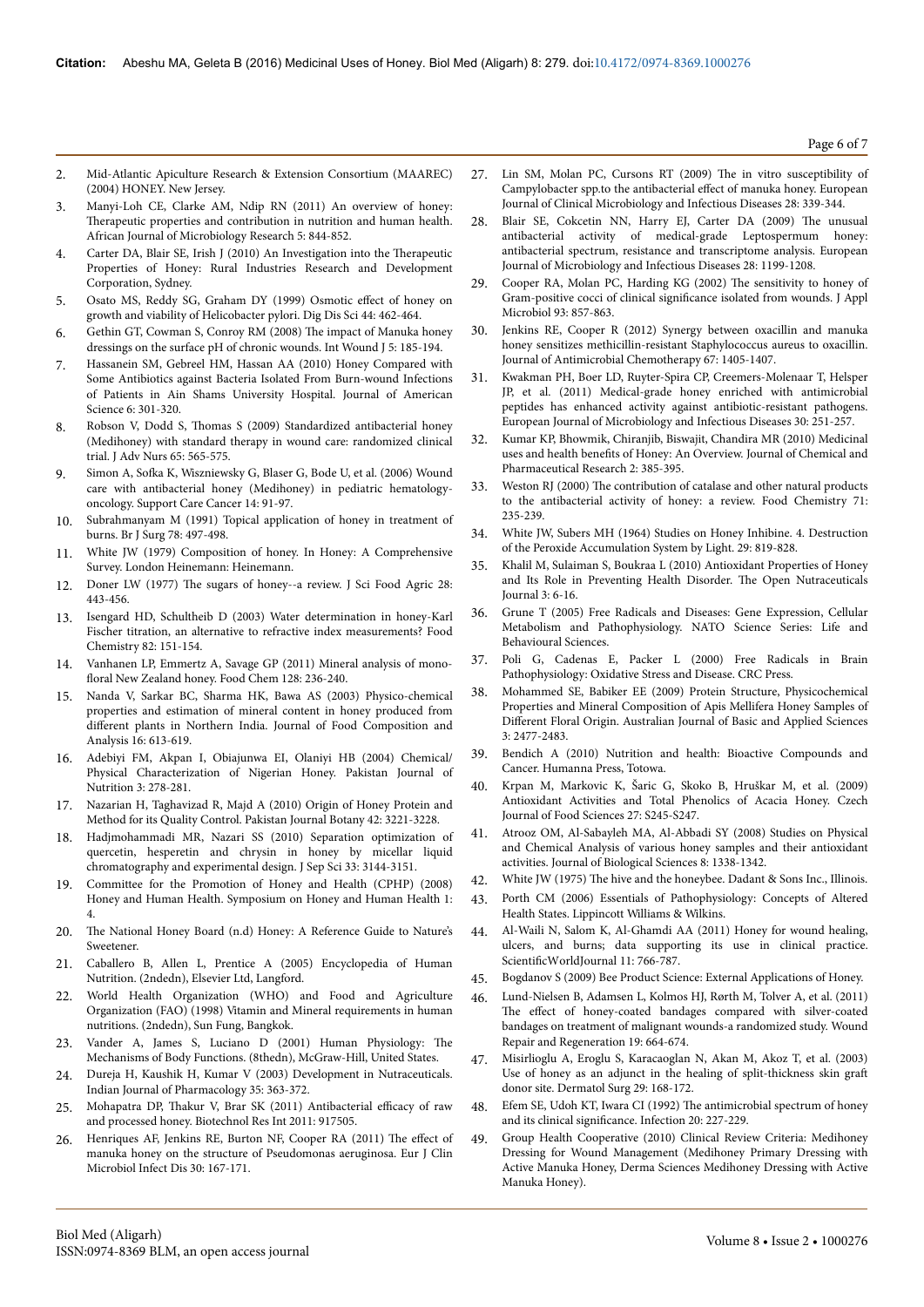- 2. Mid-Atlantic Apiculture Research & Extension Consortium (MAAREC) (2004) HONEY. New Jersey.
- 3. Manyi-Loh CE, Clarke AM, Ndip RN (2011) An overview of honey: Therapeutic properties and contribution in nutrition and human health. African Journal of Microbiology Research 5: 844-852.
- 4. Carter DA, Blair SE, Irish J (2010) An Investigation into the Therapeutic Properties of Honey: Rural Industries Research and Development Corporation, Sydney.
- 5. [Osato MS, Reddy SG, Graham DY \(1999\) Osmotic](http://www.ncbi.nlm.nih.gov/pubmed/10080135) effect of honey on [growth and viability of Helicobacter pylori. Dig Dis Sci 44: 462-464.](http://www.ncbi.nlm.nih.gov/pubmed/10080135)
- 6. [Gethin GT, Cowman S, Conroy RM \(2008\)](http://www.ncbi.nlm.nih.gov/pubmed/18494624) Нe impact of Manuka honey [dressings on the surface pH of chronic wounds. Int Wound J 5: 185-194.](http://www.ncbi.nlm.nih.gov/pubmed/18494624)
- 7. Hassanein SM, Gebreel HM, Hassan AA (2010) Honey Compared with Some Antibiotics against Bacteria Isolated From Burn-wound Infections of Patients in Ain Shams University Hospital. Journal of American Science 6: 301-320.
- 8. Robson V, Dodd S, Нomas [S \(2009\) Standardized antibacterial honey](http://www.ncbi.nlm.nih.gov/pubmed/19222654) [\(Medihoney\) with standard therapy in wound care: randomized clinical](http://www.ncbi.nlm.nih.gov/pubmed/19222654) [trial. J Adv Nurs 65: 565-575.](http://www.ncbi.nlm.nih.gov/pubmed/19222654)
- 9. Simon A, 6ofka [K, Wiszniewsky G, Blaser G, Bode U, et al. \(2006\) Wound](http://www.ncbi.nlm.nih.gov/pubmed/16075253) [care with antibacterial honey \(Medihoney\) in pediatric hematology](http://www.ncbi.nlm.nih.gov/pubmed/16075253)[oncology. Support Care Cancer 14: 91-97.](http://www.ncbi.nlm.nih.gov/pubmed/16075253)
- 10. [Subrahmanyam M \(1991\) Topical application of honey in treatment of](http://www.ncbi.nlm.nih.gov/pubmed/2032114) [burns. Br J Surg 78: 497-498.](http://www.ncbi.nlm.nih.gov/pubmed/2032114)
- 11. White JW (1979) Composition of honey. In Honey: A Comprehensive Survey. London Heinemann: Heinemann.
- 12. Doner LW (1977) Нe [sugars of honey--a review. J Sci Food Agric 28:](http://www.ncbi.nlm.nih.gov/pubmed/875373) [443-456.](http://www.ncbi.nlm.nih.gov/pubmed/875373)
- 13. Isengard HD, Schultheib D (2003) Water determination in honey-Karl Fischer titration, an alternative to refractive index measurements? Food Chemistry 82: 151-154.
- 14. [Vanhanen LP, Emmertz A, Savage GP \(2011\) Mineral analysis of](http://www.ncbi.nlm.nih.gov/pubmed/25214355) monofloral [New Zealand honey. Food Chem 128: 236-240.](http://www.ncbi.nlm.nih.gov/pubmed/25214355)
- 15. Nanda V, Sarkar BC, Sharma HK, Bawa AS (2003) Physico-chemical properties and estimation of mineral content in honey produced from different plants in Northern India. Journal of Food Composition and Analysis 16: 613-619.
- 16. Adebiyi FM, Akpan I, Obiajunwa EI, Olaniyi HB (2004) Chemical/ Physical Characterization of Nigerian Honey. Pakistan Journal of Nutrition 3: 278-281.
- 17. Nazarian H, Taghavizad R, Majd A (2010) Origin of Honey Protein and Method for its Quality Control. Pakistan Journal Botany 42: 3221-3228.
- 18. [Hadjmohammadi MR, Nazari SS \(2010\) Separation optimization of](http://www.ncbi.nlm.nih.gov/pubmed/20836080) [quercetin, hesperetin and chrysin in honey by micellar liquid](http://www.ncbi.nlm.nih.gov/pubmed/20836080) [chromatography and experimental design. J Sep Sci 33: 3144-3151.](http://www.ncbi.nlm.nih.gov/pubmed/20836080)
- 19. Committee for the Promotion of Honey and Health (CPHP) (2008) Honey and Human Health. Symposium on Honey and Human Health 1: 4.
- 20. The National Honey Board (n.d) Honey: A Reference Guide to Nature's Sweetener.
- 21. Caballero B, Allen L, Prentice A (2005) Encyclopedia of Human Nutrition. (2ndedn), Elsevier Ltd, Langford.
- 22. World Health Organization (WHO) and Food and Agriculture Organization (FAO) (1998) Vitamin and Mineral requirements in human nutritions. (2ndedn), Sun Fung, Bangkok.
- 23. Vander A, James S, Luciano D (2001) Human Physiology: Нe Mechanisms of Body Functions. (8thedn), McGraw-Hill, United States.
- 24. Dureja H, Kaushik H, Kumar V (2003) Development in Nutraceuticals. Indian Journal of Pharmacology 35: 363-372.
- 25. Mohapatra DP, Thakur [V, Brar SK \(2011\) Antibacterial](http://www.ncbi.nlm.nih.gov/pubmed/21350671) efficacy of raw [and processed honey. Biotechnol Res Int 2011: 917505.](http://www.ncbi.nlm.nih.gov/pubmed/21350671)
- 26. [Henriques AF, Jenkins RE, Burton NF, Cooper RA \(2011\)](http://www.ncbi.nlm.nih.gov/pubmed/20936493) The effect of [manuka honey on the structure of Pseudomonas aeruginosa. Eur J Clin](http://www.ncbi.nlm.nih.gov/pubmed/20936493) [Microbiol Infect Dis 30: 167-171.](http://www.ncbi.nlm.nih.gov/pubmed/20936493)
- 27. Lin SM, Molan PC, Cursons RT (2009) Нe in vitro susceptibility of Campylobacter spp.to the antibacterial effect of manuka honey. European Journal of Clinical Microbiology and Infectious Diseases 28: 339-344.
- 28. Blair SE, Cokcetin NN, Harry EJ, Carter DA (2009) Нe unusual antibacterial activity of medical-grade Leptospermum honey: antibacterial spectrum, resistance and transcriptome analysis. European Journal of Microbiology and Infectious Diseases 28: 1199-1208.
- 29. [Cooper RA, Molan PC, Harding KG \(2002\)](http://www.ncbi.nlm.nih.gov/pubmed/12392533) Нe sensitivity to honey of [Gram-positive cocci of clinical](http://www.ncbi.nlm.nih.gov/pubmed/12392533) significance isolated from wounds. J Appl [Microbiol 93: 857-863.](http://www.ncbi.nlm.nih.gov/pubmed/12392533)
- 30. Jenkins RE, Cooper R (2012) Synergy between oxacillin and manuka honey sensitizes methicillin-resistant Staphylococcus aureus to oxacillin. Journal of Antimicrobial Chemotherapy 67: 1405-1407.
- 31. Kwakman PH, Boer LD, Ruyter-Spira CP, Creemers-Molenaar T, Helsper JP, et al. (2011) Medical-grade honey enriched with antimicrobial peptides has enhanced activity against antibiotic-resistant pathogens. European Journal of Microbiology and Infectious Diseases 30: 251-257.
- 32. Kumar KP, Bhowmik, Chiranjib, Biswajit, Chandira MR (2010) Medicinal uses and health benefits of Honey: An Overview. Journal of Chemical and Pharmaceutical Research 2: 385-395.
- 33. Weston RJ (2000) Нe contribution of catalase and other natural products to the antibacterial activity of honey: a review. Food Chemistry 71: 235-239.
- 34. White JW, Subers MH (1964) Studies on Honey Inhibine. 4. Destruction of the Peroxide Accumulation System by Light. 29: 819-828.
- 35. Khalil M, Sulaiman S, Boukraa L (2010) Antioxidant Properties of Honey and Its Role in Preventing Health Disorder. Нe Open Nutraceuticals Journal 3: 6-16.
- 36. Grune T (2005) Free Radicals and Diseases: Gene Expression, Cellular Metabolism and Pathophysiology. NATO Science Series: Life and Behavioural Sciences.
- 37. Poli G, Cadenas E, Packer L (2000) Free Radicals in Brain Pathophysiology: Oxidative Stress and Disease. CRC Press.
- 38. Mohammed SE, Babiker EE (2009) Protein Structure, Physicochemical Properties and Mineral Composition of Apis Mellifera Honey Samples of Different Floral Origin. Australian Journal of Basic and Applied Sciences 3: 2477-2483.
- 39. Bendich A (2010) Nutrition and health: Bioactive Compounds and Cancer. Humanna Press, Totowa.
- 40. Krpan M, Markovic K, Šaric G, Skoko B, Hruškar M, et al. (2009) Antioxidant Activities and Total Phenolics of Acacia Honey. Czech Journal of Food Sciences 27: S245-S247.
- 41. Atrooz OM, Al-Sabayleh MA, Al-Abbadi SY (2008) Studies on Physical and Chemical Analysis of various honey samples and their antioxidant activities. Journal of Biological Sciences 8: 1338-1342.
- 42. White JW (1975) The hive and the honeybee. Dadant & Sons Inc., Illinois.
- 43. Porth CM (2006) Essentials of Pathophysiology: Concepts of Altered Health States. Lippincott Williams & Wilkins.
- 44. [Al-Waili N, Salom K, Al-Ghamdi AA \(2011\) Honey for wound healing,](http://www.ncbi.nlm.nih.gov/pubmed/21479349) [ulcers, and burns; data supporting its use in clinical practice.](http://www.ncbi.nlm.nih.gov/pubmed/21479349) ScientificWorldJournal 11: 766-787.
- 45. Bogdanov S (2009) Bee Product Science: External Applications of Honey.
- 46. Lund-Nielsen B, Adamsen L, Kolmos HJ, Rørth M, Tolver A, et al. (2011) The effect of honey-coated bandages compared with silver-coated bandages on treatment of malignant wounds-a randomized study. Wound Repair and Regeneration 19: 664-674.
- 47. [Misirlioglu A, Eroglu S, Karacaoglan N, Akan M, Akoz T, et al. \(2003\)](http://www.ncbi.nlm.nih.gov/pubmed/12562348) [Use of honey as an adjunct in the healing of split-thickness skin](http://www.ncbi.nlm.nih.gov/pubmed/12562348) graft [donor site. Dermatol Surg 29: 168-172.](http://www.ncbi.nlm.nih.gov/pubmed/12562348)
- 48. [Efem SE, Udoh KT, Iwara CI \(1992\)](http://www.ncbi.nlm.nih.gov/pubmed/1521889) Нe antimicrobial spectrum of honey and its clinical significance. [Infection 20: 227-229.](http://www.ncbi.nlm.nih.gov/pubmed/1521889)
- 49. Group Health Cooperative (2010) Clinical Review Criteria: Medihoney Dressing for Wound Management (Medihoney Primary Dressing with Active Manuka Honey, Derma Sciences Medihoney Dressing with Active Manuka Honey).